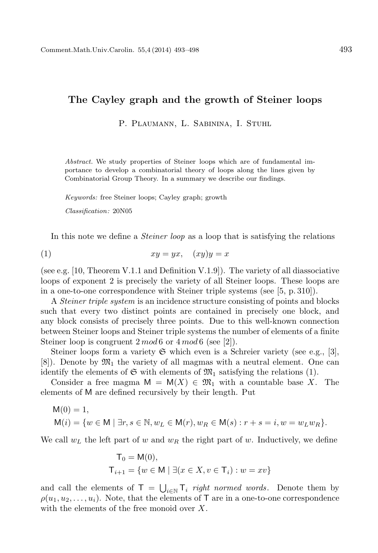## The Cayley graph and the growth of Steiner loops

P. PLAUMANN, L. SABININA, I. STUHL

*Abstract.* We study properties of Steiner loops which are of fundamental importance to develop a combinatorial theory of loops along the lines given by Combinatorial Group Theory. In a summary we describe our findings.

*Keywords:* free Steiner loops; Cayley graph; growth

*Classification:* 20N05

In this note we define a *Steiner loop* as a loop that is satisfying the relations

$$
(1) \t xy = yx, \t (xy)y = x
$$

(see e.g. [10, Theorem V.1.1 and Definition V.1.9]). The variety of all diassociative loops of exponent 2 is precisely the variety of all Steiner loops. These loops are in a one-to-one correspondence with Steiner triple systems (see [5, p. 310]).

A Steiner triple system is an incidence structure consisting of points and blocks such that every two distinct points are contained in precisely one block, and any block consists of precisely three points. Due to this well-known connection between Steiner loops and Steiner triple systems the number of elements of a finite Steiner loop is congruent  $2 \mod 6$  or  $4 \mod 6$  (see [2]).

Steiner loops form a variety  $\mathfrak S$  which even is a Schreier variety (see e.g., [3],  $[8]$ . Denote by  $\mathfrak{M}_1$  the variety of all magmas with a neutral element. One can identify the elements of  $\mathfrak{S}$  with elements of  $\mathfrak{M}_1$  satisfying the relations (1).

Consider a free magma  $M = M(X) \in \mathfrak{M}_1$  with a countable base X. The elements of M are defined recursively by their length. Put

$$
M(0) = 1,
$$
  
\n
$$
M(i) = \{w \in M \mid \exists r, s \in \mathbb{N}, w_L \in M(r), w_R \in M(s) : r + s = i, w = w_L w_R\}.
$$

We call  $w_L$  the left part of w and  $w_R$  the right part of w. Inductively, we define

$$
T_0 = M(0),
$$
  
\n
$$
T_{i+1} = \{ w \in M \mid \exists (x \in X, v \in T_i) : w = xv \}
$$

and call the elements of  $\mathsf{T} = \bigcup_{i \in \mathbb{N}} \mathsf{T}_i$  right normed words. Denote them by  $\rho(u_1, u_2, \ldots, u_i)$ . Note, that the elements of T are in a one-to-one correspondence with the elements of the free monoid over X.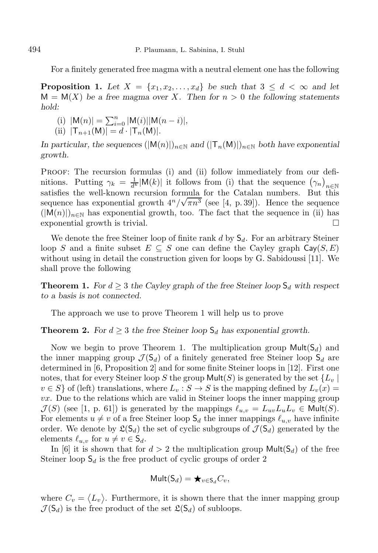For a finitely generated free magma with a neutral element one has the following

**Proposition 1.** Let  $X = \{x_1, x_2, \ldots, x_d\}$  be such that  $3 \leq d < \infty$  and let  $M = M(X)$  be a free magma over X. Then for  $n > 0$  the following statements *hold:*

- (i)  $|M(n)| = \sum_{i=0}^{n} |M(i)| |M(n-i)|,$
- (ii)  $|T_{n+1}(M)| = d \cdot |T_n(M)|$ .

*In particular, the sequences*  $(|M(n)|)_{n\in\mathbb{N}}$  *and*  $(|T_n(M)|)_{n\in\mathbb{N}}$  *both have exponential growth.*

PROOF: The recursion formulas (i) and (ii) follow immediately from our definitions. Putting  $\gamma_k = \frac{1}{d^k} |M(k)|$  it follows from (i) that the sequence  $(\gamma_n)_{n \in \mathbb{N}}$ satisfies the well-known recursion formula for the Catalan numbers. But this sequence has exponential growth  $4^n/\sqrt{\pi n^3}$  (see [4, p. 39]). Hence the sequence  $(|M(n)|)_{n\in\mathbb{N}}$  has exponential growth, too. The fact that the sequence in (ii) has exponential growth is trivial. exponential growth is trivial.

We denote the free Steiner loop of finite rank d by  $S_d$ . For an arbitrary Steiner loop S and a finite subset  $E \subseteq S$  one can define the Cayley graph Cay( $S, E$ ) without using in detail the construction given for loops by G. Sabidoussi [11]. We shall prove the following

**Theorem 1.** *For*  $d \geq 3$  *the Cayley graph of the free Steiner loop*  $S_d$  *with respect to a basis is not connected.*

The approach we use to prove Theorem 1 will help us to prove

**Theorem 2.** *For*  $d \geq 3$  *the free Steiner loop*  $S_d$  *has exponential growth.* 

Now we begin to prove Theorem 1. The multiplication group  $Mult(S_d)$  and the inner mapping group  $\mathcal{J}(\mathsf{S}_d)$  of a finitely generated free Steiner loop  $\mathsf{S}_d$  are determined in [6, Proposition 2] and for some finite Steiner loops in [12]. First one notes, that for every Steiner loop S the group  $Mult(S)$  is generated by the set  ${L_v \mid h_v \in S_v}$  $v \in S$  of (left) translations, where  $L_v : S \to S$  is the mapping defined by  $L_v(x) =$ vx. Due to the relations which are valid in Steiner loops the inner mapping group  $\mathcal{J}(S)$  (see [1, p. 61]) is generated by the mappings  $\ell_{u,v} = L_{uv}L_uL_v \in \text{Mult}(S)$ . For elements  $u \neq v$  of a free Steiner loop  $S_d$  the inner mappings  $\ell_{u,v}$  have infinite order. We denote by  $\mathfrak{L}(S_d)$  the set of cyclic subgroups of  $\mathcal{J}(S_d)$  generated by the elements  $\ell_{u,v}$  for  $u \neq v \in \mathsf{S}_d$ .

In [6] it is shown that for  $d > 2$  the multiplication group  $Mult(S_d)$  of the free Steiner loop  $\mathsf{S}_d$  is the free product of cyclic groups of order 2

$$
\mathsf{Mult}(\mathsf{S}_d) = \bigstar_{v \in \mathsf{S}_d} C_v,
$$

where  $C_v = \langle L_v \rangle$ . Furthermore, it is shown there that the inner mapping group  $\mathcal{J}(\mathsf{S}_d)$  is the free product of the set  $\mathfrak{L}(\mathsf{S}_d)$  of subloops.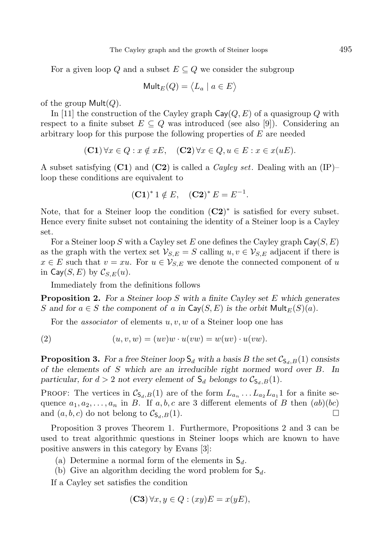For a given loop Q and a subset  $E \subseteq Q$  we consider the subgroup

$$
\mathsf{Mult}_E(Q) = \langle L_a \mid a \in E \rangle
$$

of the group  $Mult(Q)$ .

In [11] the construction of the Cayley graph  $\text{Cay}(Q, E)$  of a quasigroup Q with respect to a finite subset  $E \subseteq Q$  was introduced (see also [9]). Considering an arbitrary loop for this purpose the following properties of E are needed

$$
(\mathbf{C1}) \forall x \in Q : x \notin xE, \quad (\mathbf{C2}) \forall x \in Q, u \in E : x \in x(uE).
$$

A subset satisfying  $(C1)$  and  $(C2)$  is called a *Cayley set*. Dealing with an  $(IP)$ – loop these conditions are equivalent to

$$
(C1)^* 1 \notin E
$$
,  $(C2)^* E = E^{-1}$ .

Note, that for a Steiner loop the condition  $(C2)^*$  is satisfied for every subset. Hence every finite subset not containing the identity of a Steiner loop is a Cayley set.

For a Steiner loop S with a Cayley set E one defines the Cayley graph  $\textsf{Cay}(S, E)$ as the graph with the vertex set  $\mathcal{V}_{S,E} = S$  calling  $u, v \in \mathcal{V}_{S,E}$  adjacent if there is  $x \in E$  such that  $v = xu$ . For  $u \in V_{S,E}$  we denote the connected component of u in  $\textsf{Cay}(S, E)$  by  $\mathcal{C}_{S,E}(u)$ .

Immediately from the definitions follows

Proposition 2. *For a Steiner loop* S *with a finite Cayley set* E *which generates* S and for  $a \in S$  the component of a in  $\text{Cay}(S, E)$  is the orbit  $\text{Mult}_E(S)(a)$ .

For the *associator* of elements  $u, v, w$  of a Steiner loop one has

(2) 
$$
(u, v, w) = (uv)w \cdot u(vw) = w(uv) \cdot u(vw).
$$

**Proposition 3.** For a free Steiner loop  $S_d$  with a basis B the set  $\mathcal{C}_{S_d,B}(1)$  consists *of the elements of* S *which are an irreducible right normed word over* B*. In particular, for*  $d > 2$  *not every element of*  $S_d$  *belongs to*  $C_{S_d,B}(1)$ *.* 

PROOF: The vertices in  $\mathcal{C}_{S_d,B}(1)$  are of the form  $L_{a_n} \dots L_{a_2} L_{a_1} 1$  for a finite sequence  $a_1, a_2, \ldots, a_n$  in B. If  $a, b, c$  are 3 different elements of B then  $(ab)(bc)$ and  $(a, b, c)$  do not belong to  $\mathcal{C}_{\mathsf{S}_d,B}(1)$ .

Proposition 3 proves Theorem 1. Furthermore, Propositions 2 and 3 can be used to treat algorithmic questions in Steiner loops which are known to have positive answers in this category by Evans [3]:

- (a) Determine a normal form of the elements in  $S_d$ .
- (b) Give an algorithm deciding the word problem for  $S_d$ .

If a Cayley set satisfies the condition

$$
(\mathbf{C3}) \,\forall x, y \in Q : (xy)E = x(yE),
$$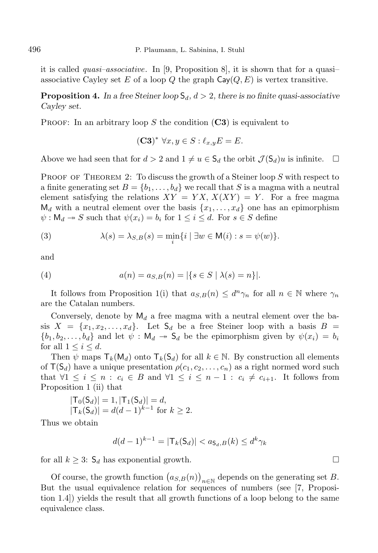496 P. Plaumann, L. Sabinina, I. Stuhl

it is called quasi–associative. In [9, Proposition 8], it is shown that for a quasi– associative Cayley set E of a loop Q the graph  $\textsf{Cay}(Q, E)$  is vertex transitive.

**Proposition 4.** In a free Steiner loop  $S_d$ ,  $d > 2$ , there is no finite quasi-associative *Cayley set.*

PROOF: In an arbitrary loop  $S$  the condition  $(C3)$  is equivalent to

$$
(\mathbf{C3})^* \ \forall x, y \in S: \ell_{x,y} E = E.
$$

Above we had seen that for  $d > 2$  and  $1 \neq u \in S_d$  the orbit  $\mathcal{J}(S_d)u$  is infinite.

PROOF OF THEOREM 2: To discuss the growth of a Steiner loop S with respect to a finite generating set  $B = \{b_1, \ldots, b_d\}$  we recall that S is a magma with a neutral element satisfying the relations  $XY = YX, X(XY) = Y$ . For a free magma  $M_d$  with a neutral element over the basis  $\{x_1, \ldots, x_d\}$  one has an epimorphism  $\psi : \mathsf{M}_d \to S$  such that  $\psi(x_i) = b_i$  for  $1 \leq i \leq d$ . For  $s \in S$  define

(3) 
$$
\lambda(s) = \lambda_{S,B}(s) = \min_i \{i \mid \exists w \in M(i) : s = \psi(w)\}.
$$

and

(4) 
$$
a(n) = a_{S,B}(n) = |\{s \in S \mid \lambda(s) = n\}|.
$$

It follows from Proposition 1(i) that  $a_{S,B}(n) \leq d^n \gamma_n$  for all  $n \in \mathbb{N}$  where  $\gamma_n$ are the Catalan numbers.

Conversely, denote by  $M_d$  a free magma with a neutral element over the basis  $X = \{x_1, x_2, \ldots, x_d\}$ . Let  $S_d$  be a free Steiner loop with a basis  $B =$  $\{b_1, b_2, \ldots, b_d\}$  and let  $\psi : \mathsf{M}_d \to \mathsf{S}_d$  be the epimorphism given by  $\psi(x_i) = b_i$ for all  $1 \leq i \leq d$ .

Then  $\psi$  maps  $\mathsf{T}_k(\mathsf{M}_d)$  onto  $\mathsf{T}_k(\mathsf{S}_d)$  for all  $k \in \mathbb{N}$ . By construction all elements of  $T(S_d)$  have a unique presentation  $\rho(c_1, c_2, \ldots, c_n)$  as a right normed word such that  $\forall 1 \leq i \leq n : c_i \in B$  and  $\forall 1 \leq i \leq n-1 : c_i \neq c_{i+1}$ . It follows from Proposition 1 (ii) that

$$
|\mathsf{T}_0(\mathsf{S}_d)| = 1, |\mathsf{T}_1(\mathsf{S}_d)| = d,
$$
  

$$
|\mathsf{T}_k(\mathsf{S}_d)| = d(d-1)^{k-1} \text{ for } k \ge 2.
$$

Thus we obtain

$$
d(d-1)^{k-1} = |\mathsf{T}_k(\mathsf{S}_d)| < a_{\mathsf{S}_d,B}(k) \le d^k \gamma_k
$$

for all  $k \geq 3$ :  $\mathsf{S}_d$  has exponential growth.

Of course, the growth function  $(a_{S,B}(n))_{n\in\mathbb{N}}$  depends on the generating set B. But the usual equivalence relation for sequences of numbers (see [7, Proposition 1.4]) yields the result that all growth functions of a loop belong to the same equivalence class.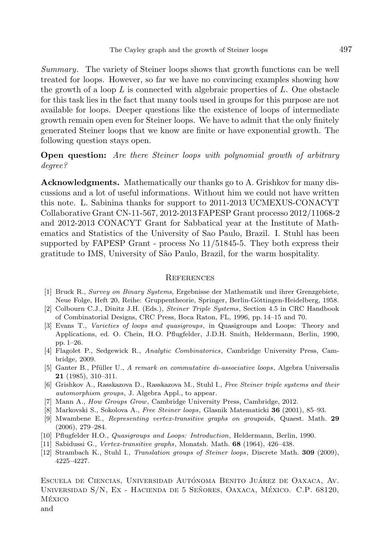Summary. The variety of Steiner loops shows that growth functions can be well treated for loops. However, so far we have no convincing examples showing how the growth of a loop  $L$  is connected with algebraic properties of  $L$ . One obstacle for this task lies in the fact that many tools used in groups for this purpose are not available for loops. Deeper questions like the existence of loops of intermediate growth remain open even for Steiner loops. We have to admit that the only finitely generated Steiner loops that we know are finite or have exponential growth. The following question stays open.

## Open question: Are there Steiner loops with polynomial growth of arbitrary degree?

Acknowledgments. Mathematically our thanks go to A. Grishkov for many discussions and a lot of useful informations. Without him we could not have written this note. L. Sabinina thanks for support to 2011-2013 UCMEXUS-CONACYT Collaborative Grant CN-11-567, 2012-2013 FAPESP Grant processo 2012/11068-2 and 2012-2013 CONACYT Grant for Sabbatical year at the Institute of Mathematics and Statistics of the University of Sao Paulo, Brazil. I. Stuhl has been supported by FAPESP Grant - process No 11/51845-5. They both express their gratitude to IMS, University of S˜ao Paulo, Brazil, for the warm hospitality.

## **REFERENCES**

- [1] Bruck R., *Survey on Binary Systems*, Ergebnisse der Mathematik und ihrer Grenzgebiete, Neue Folge, Heft 20, Reihe: Gruppentheorie, Springer, Berlin-Göttingen-Heidelberg, 1958.
- [2] Colbourn C.J., Dinitz J.H. (Eds.), *Steiner Triple Systems*, Section 4.5 in CRC Handbook of Combinatorial Designs, CRC Press, Boca Raton, FL, 1996, pp. 14–15 and 70.
- [3] Evans T., *Varieties of loops and quasigroups*, in Quasigroups and Loops: Theory and Applications, ed. O. Chein, H.O. Pflugfelder, J.D.H. Smith, Heldermann, Berlin, 1990, pp. 1–26.
- [4] Flagolet P., Sedgewick R., *Analytic Combinatorics*, Cambridge University Press, Cambridge, 2009.
- [5] Ganter B., Pfüller U., *A remark on commutative di-associative loops*, Algebra Universalis 21 (1985), 310–311.
- [6] Grishkov A., Rasskazova D., Rasskazova M., Stuhl I., *Free Steiner triple systems and their automorphism groups*, J. Algebra Appl., to appear.
- [7] Mann A., *How Groups Grow*, Cambridge University Press, Cambridge, 2012.
- [8] Markovski S., Sokolova A., *Free Steiner loops*, Glasnik Matematicki 36 (2001), 85–93.
- [9] Mwambene E., *Representing vertex-transitive graphs on groupoids*, Quaest. Math. 29 (2006), 279–284.
- [10] Pflugfelder H.O., *Quasigroups and Loops: Introduction*, Heldermann, Berlin, 1990.
- [11] Sabidussi G., *Vertex-transitive graphs*, Monatsh. Math. 68 (1964), 426–438.
- [12] Strambach K., Stuhl I., *Translation groups of Steiner loops*, Discrete Math. 309 (2009), 4225–4227.

ESCUELA DE CIENCIAS, UNIVERSIDAD AUTÓNOMA BENITO JUÁREZ DE OAXACA, AV. UNIVERSIDAD S/N, EX - HACIENDA DE 5 SEÑORES, OAXACA, MÉXICO. C.P. 68120, México

and